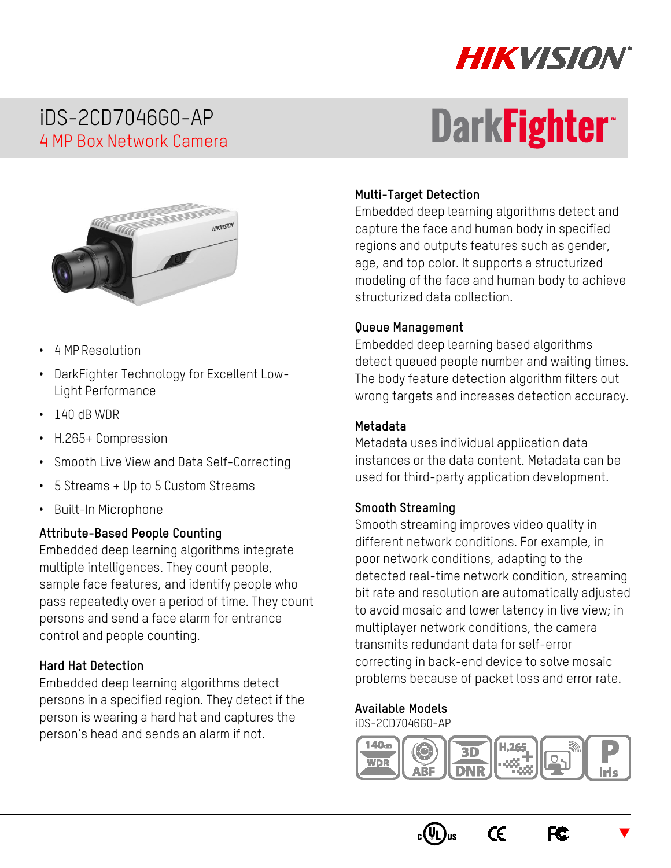

## iDS-2CD7046G0-AP 4 MP Box Network Camera

# **DarkFightert**



- 4 MP Resolution
- DarkFighter Technology for Excellent Low-Light Performance
- 140 dB WDR
- H.265+ Compression
- Smooth Live View and Data Self-Correcting
- 5 Streams + Up to 5 Custom Streams
- Built-In Microphone

#### **Attribute-Based People Counting**

Embedded deep learning algorithms integrate multiple intelligences. They count people, sample face features, and identify people who pass repeatedly over a period of time. They count persons and send a face alarm for entrance control and people counting.

#### **Hard Hat Detection**

Embedded deep learning algorithms detect persons in a specified region. They detect if the person is wearing a hard hat and captures the person's head and sends an alarm if not.

#### **Multi-Target Detection**

Embedded deep learning algorithms detect and capture the face and human body in specified regions and outputs features such as gender, age, and top color. It supports a structurized modeling of the face and human body to achieve structurized data collection.

#### **Queue Management**

Embedded deep learning based algorithms detect queued people number and waiting times. The body feature detection algorithm filters out wrong targets and increases detection accuracy.

#### **Metadata**

Metadata uses individual application data instances or the data content. Metadata can be used for third-party application development.

#### **Smooth Streaming**

Smooth streaming improves video quality in different network conditions. For example, in poor network conditions, adapting to the detected real-time network condition, streaming bit rate and resolution are automatically adjusted to avoid mosaic and lower latency in live view; in multiplayer network conditions, the camera transmits redundant data for self-error correcting in back-end device to solve mosaic problems because of packet loss and error rate.

#### **Available Models**

iDS-2CD7046G0-AP



 $\epsilon$ 





 $\blacktriangledown$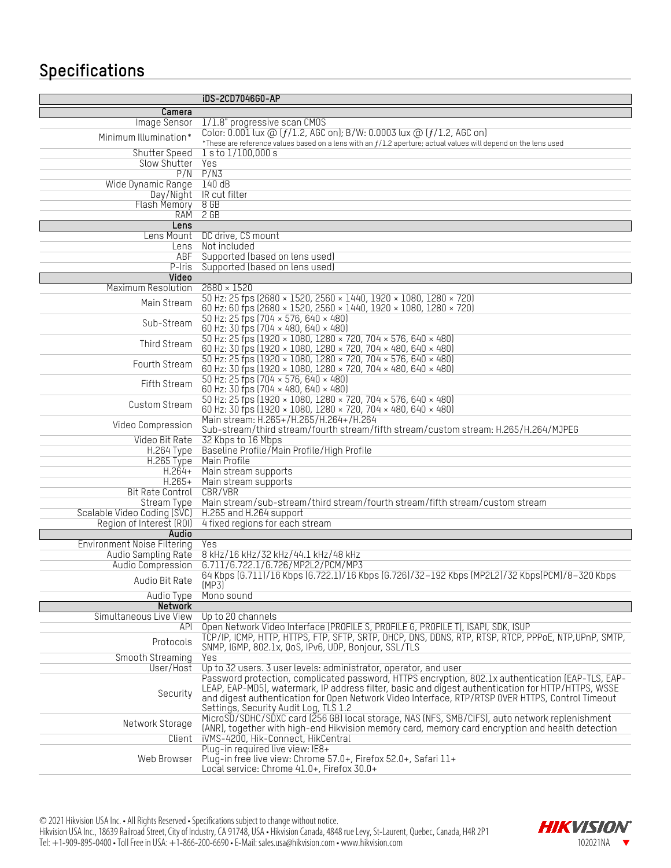## **Specifications**

|                             | iDS-2CD7046G0-AP                                                                                                                                                                                        |  |  |
|-----------------------------|---------------------------------------------------------------------------------------------------------------------------------------------------------------------------------------------------------|--|--|
| Camera                      |                                                                                                                                                                                                         |  |  |
| Image Sensor                | 1/1.8" progressive scan CMOS                                                                                                                                                                            |  |  |
|                             | Color: 0.001 lux @ $(f/1.2,$ AGC on); B/W: 0.0003 lux @ $(f/1.2,$ AGC on)                                                                                                                               |  |  |
| Minimum Illumination*       | *These are reference values based on a lens with an $f/1.2$ aperture; actual values will depend on the lens used                                                                                        |  |  |
| Shutter Speed               | $1$ s to $1/100,000$ s                                                                                                                                                                                  |  |  |
| Slow Shutter Yes            |                                                                                                                                                                                                         |  |  |
|                             | $P/N$ $P/N3$                                                                                                                                                                                            |  |  |
| Wide Dynamic Range          | 140dB                                                                                                                                                                                                   |  |  |
|                             | Day/Night IR cut filter                                                                                                                                                                                 |  |  |
| Flash Memory 8 GB           |                                                                                                                                                                                                         |  |  |
|                             | RAM 2 GB                                                                                                                                                                                                |  |  |
| Lens                        | Lens Mount DC drive, CS mount                                                                                                                                                                           |  |  |
| Lens                        | Not included                                                                                                                                                                                            |  |  |
| <b>ABF</b>                  | Supported (based on lens used)                                                                                                                                                                          |  |  |
| $P-Iris$                    | Supported (based on lens used)                                                                                                                                                                          |  |  |
| Video                       |                                                                                                                                                                                                         |  |  |
| Maximum Resolution          | $2680 \times 1520$                                                                                                                                                                                      |  |  |
| Main Stream                 | 50 Hz: 25 fps (2680 × 1520, 2560 × 1440, 1920 × 1080, 1280 × 720)                                                                                                                                       |  |  |
|                             | 60 Hz: 60 fps (2680 × 1520, 2560 × 1440, 1920 × 1080, 1280 × 720)                                                                                                                                       |  |  |
| Sub-Stream                  | 50 Hz: 25 fps (704 × 576, 640 × 480)                                                                                                                                                                    |  |  |
|                             | 60 Hz: 30 fps (704 × 480, 640 × 480)                                                                                                                                                                    |  |  |
| Third Stream                | 50 Hz: 25 fps (1920 × 1080, 1280 × 720, 704 × 576, 640 × 480)                                                                                                                                           |  |  |
|                             | 60 Hz: 30 fps (1920 × 1080, 1280 × 720, 704 × 480, 640 × 480)<br>50 Hz: 25 fps (1920 × 1080, 1280 × 720, 704 × 576, 640 × 480)                                                                          |  |  |
| Fourth Stream               | 60 Hz: 30 fps (1920 × 1080, 1280 × 720, 704 × 480, 640 × 480)                                                                                                                                           |  |  |
|                             | 50 Hz: 25 fps $(704 \times 576, 640 \times 480)$                                                                                                                                                        |  |  |
| Fifth Stream                | 60 Hz: 30 fps (704 × 480, 640 × 480)                                                                                                                                                                    |  |  |
|                             | 50 Hz: 25 fps (1920 × 1080, 1280 × 720, 704 × 576, 640 × 480)                                                                                                                                           |  |  |
| Custom Stream               | 60 Hz: 30 fps (1920 × 1080, 1280 × 720, 704 × 480, 640 × 480)                                                                                                                                           |  |  |
| Video Compression           | Main stream: H.265+/H.265/H.264+/H.264                                                                                                                                                                  |  |  |
|                             | Sub-stream/third stream/fourth stream/fifth stream/custom stream: H.265/H.264/MJPEG                                                                                                                     |  |  |
| Video Bit Rate              | 32 Kbps to 16 Mbps                                                                                                                                                                                      |  |  |
| H.264 Type                  | Baseline Profile/Main Profile/High Profile                                                                                                                                                              |  |  |
| $H.264+$                    | H.265 Type Main Profile<br>Main stream supports                                                                                                                                                         |  |  |
| $H.265+$                    | Main stream supports                                                                                                                                                                                    |  |  |
| Bit Rate Control            | CBR/VBR                                                                                                                                                                                                 |  |  |
| Stream Type                 | Main stream/sub-stream/third stream/fourth stream/fifth stream/custom stream                                                                                                                            |  |  |
| Scalable Video Coding (SVC) | H.265 and H.264 support                                                                                                                                                                                 |  |  |
| Region of Interest (ROI)    | 4 fixed regions for each stream                                                                                                                                                                         |  |  |
| Audio                       |                                                                                                                                                                                                         |  |  |
| Environment Noise Filtering | Yes                                                                                                                                                                                                     |  |  |
| Audio Sampling Rate         | 8 kHz/16 kHz/32 kHz/44.1 kHz/48 kHz                                                                                                                                                                     |  |  |
| Audio Compression           | G.711/G.722.1/G.726/MP2L2/PCM/MP3                                                                                                                                                                       |  |  |
| Audio Bit Rate              | 64 Kbps (6.711)/16 Kbps (6.722.1)/16 Kbps (6.726)/32-192 Kbps (MP2L2)/32 Kbps(PCM)/8-320 Kbps                                                                                                           |  |  |
| Audio Type                  | (MP3)<br>Mono sound                                                                                                                                                                                     |  |  |
| <b>Network</b>              |                                                                                                                                                                                                         |  |  |
| Simultaneous Live View      | Up to 20 channels                                                                                                                                                                                       |  |  |
| API                         | Open Network Video Interface (PROFILE S, PROFILE G, PROFILE T), ISAPI, SDK, ISUP                                                                                                                        |  |  |
| Protocols                   | TCP/IP, ICMP, HTTP, HTTPS, FTP, SFTP, SRTP, DHCP, DNS, DDNS, RTP, RTSP, RTCP, PPPoE, NTP,UPnP, SMTP,                                                                                                    |  |  |
|                             | SNMP, IGMP, 802.1x, QoS, IPv6, UDP, Bonjour, SSL/TLS                                                                                                                                                    |  |  |
| Smooth Streaming            | Yes                                                                                                                                                                                                     |  |  |
| User/Host                   | Up to 32 users. 3 user levels: administrator, operator, and user                                                                                                                                        |  |  |
|                             | Password protection, complicated password, HTTPS encryption, 802.1x authentication (EAP-TLS, EAP-<br>LEAP, EAP-MD5), watermark, IP address filter, basic and digest authentication for HTTP/HTTPS, WSSE |  |  |
| Security                    | and digest authentication for Open Network Video Interface, RTP/RTSP OVER HTTPS, Control Timeout                                                                                                        |  |  |
|                             | Settings, Security Audit Log, TLS 1.2                                                                                                                                                                   |  |  |
|                             | MicroSD/SDHC/SDXC card (256 GB) local storage, NAS (NFS, SMB/CIFS), auto network replenishment                                                                                                          |  |  |
| Network Storage             | (ANR), together with high-end Hikvision memory card, memory card encryption and health detection                                                                                                        |  |  |
| Client                      | iVMS-4200, Hik-Connect, HikCentral                                                                                                                                                                      |  |  |
|                             | Plug-in required live view: IE8+                                                                                                                                                                        |  |  |
| Web Browser                 | Plug-in free live view: Chrome 57.0+, Firefox 52.0+, Safari 11+                                                                                                                                         |  |  |
|                             | Local service: Chrome 41.0+, Firefox 30.0+                                                                                                                                                              |  |  |

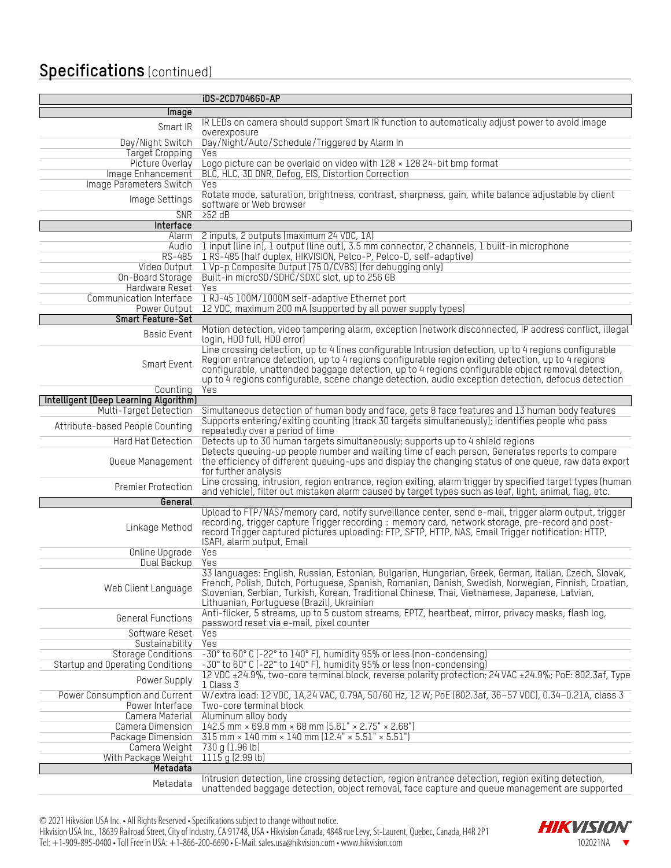## **Specifications** (continued)

|                                                                 | iDS-2CD7046G0-AP                                                                                                                                                                                   |  |  |
|-----------------------------------------------------------------|----------------------------------------------------------------------------------------------------------------------------------------------------------------------------------------------------|--|--|
| Image                                                           |                                                                                                                                                                                                    |  |  |
| Smart IR                                                        | IR LEDs on camera should support Smart IR function to automatically adjust power to avoid image<br>overexposure                                                                                    |  |  |
| Day/Night Switch                                                | Day/Night/Auto/Schedule/Triggered by Alarm In                                                                                                                                                      |  |  |
| <b>Target Cropping</b>                                          | Yes                                                                                                                                                                                                |  |  |
| Picture Overlay                                                 | Logo picture can be overlaid on video with $128 \times 128$ 24-bit bmp format                                                                                                                      |  |  |
| Image Enhancement                                               | BLC, HLC, 3D DNR, Defog, EIS, Distortion Correction                                                                                                                                                |  |  |
| Image Parameters Switch                                         | Yes                                                                                                                                                                                                |  |  |
| Image Settings                                                  | Rotate mode, saturation, brightness, contrast, sharpness, gain, white balance adjustable by client                                                                                                 |  |  |
|                                                                 | software or Web browser                                                                                                                                                                            |  |  |
| <b>SNR</b>                                                      | 252 dB                                                                                                                                                                                             |  |  |
| Interface                                                       |                                                                                                                                                                                                    |  |  |
| Alarm                                                           | 2 inputs, 2 outputs (maximum 24 VDC, 1A)                                                                                                                                                           |  |  |
| Audio                                                           | 1 input (line in), 1 output (line out), 3.5 mm connector, 2 channels, 1 built-in microphone                                                                                                        |  |  |
| RS-485                                                          | 1 RS-485 (half duplex, HIKVISION, Pelco-P, Pelco-D, self-adaptive)                                                                                                                                 |  |  |
| Video Output<br>On-Board Storage                                | 1 Vp-p Composite Output (75 0/CVBS) (for debugging only)<br>Built-in microSD/SDHC/SDXC slot, up to 256 GB                                                                                          |  |  |
| Hardware Reset                                                  | Yes                                                                                                                                                                                                |  |  |
| Communication Interface                                         | 1 RJ-45 100M/1000M self-adaptive Ethernet port                                                                                                                                                     |  |  |
| Power Output                                                    | 12 VDC, maximum 200 mA (supported by all power supply types)                                                                                                                                       |  |  |
| <b>Smart Feature-Set</b>                                        |                                                                                                                                                                                                    |  |  |
|                                                                 | Motion detection, video tampering alarm, exception (network disconnected, IP address conflict, illegal                                                                                             |  |  |
| Basic Event                                                     | login, HDD full, HDD error)                                                                                                                                                                        |  |  |
|                                                                 | Line crossing detection, up to 4 lines configurable Intrusion detection, up to 4 regions configurable                                                                                              |  |  |
| Smart Event                                                     | Region entrance detection, up to 4 regions configurable region exiting detection, up to 4 regions                                                                                                  |  |  |
|                                                                 | configurable, unattended baggage detection, up to 4 regions configurable object removal detection,                                                                                                 |  |  |
|                                                                 | up to 4 regions configurable, scene change detection, audio exception detection, defocus detection                                                                                                 |  |  |
| Counting                                                        | Yes                                                                                                                                                                                                |  |  |
| Intelligent (Deep Learning Algorithm)<br>Multi-Target Detection |                                                                                                                                                                                                    |  |  |
|                                                                 | Simultaneous detection of human body and face, gets 8 face features and 13 human body features<br>Supports entering/exiting counting (track 30 targets simultaneously); identifies people who pass |  |  |
| Attribute-based People Counting                                 | repeatedly over a period of time                                                                                                                                                                   |  |  |
| Hard Hat Detection                                              | Detects up to 30 human targets simultaneously; supports up to 4 shield regions                                                                                                                     |  |  |
|                                                                 | Detects queuing-up people number and waiting time of each person, Generates reports to compare                                                                                                     |  |  |
| Queue Management                                                | the efficiency of different queuing-ups and display the changing status of one queue, raw data export<br>for further analysis                                                                      |  |  |
|                                                                 | Line crossing, intrusion, region entrance, region exiting, alarm trigger by specified target types (human                                                                                          |  |  |
| Premier Protection                                              | and vehicle), filter out mistaken alarm caused by target types such as leaf, light, animal, flag, etc.                                                                                             |  |  |
| General                                                         |                                                                                                                                                                                                    |  |  |
|                                                                 | Upload to FTP/NAS/memory card, notify surveillance center, send e-mail, trigger alarm output, trigger                                                                                              |  |  |
| Linkage Method                                                  | recording, trigger capture Trigger recording: memory card, network storage, pre-record and post-                                                                                                   |  |  |
|                                                                 | record Trigger captured pictures uploading: FTP, SFTP, HTTP, NAS, Email Trigger notification: HTTP,<br>ISAPI, alarm output, Email                                                                  |  |  |
| Online Upgrade                                                  | Yes                                                                                                                                                                                                |  |  |
| Dual Backup                                                     | Yes                                                                                                                                                                                                |  |  |
|                                                                 | 33 languages: English, Russian, Estonian, Bulgarian, Hungarian, Greek, German, Italian, Czech, Slovak,                                                                                             |  |  |
|                                                                 | French, Polish, Dutch, Portuguese, Spanish, Romanian, Danish, Swedish, Norwegian, Finnish, Croatian,                                                                                               |  |  |
| Web Client Language                                             | Slovenian, Serbian, Turkish, Korean, Traditional Chinese, Thai, Vietnamese, Japanese, Latvian,                                                                                                     |  |  |
|                                                                 | Lithuanian, Portuguese (Brazil), Ukrainian                                                                                                                                                         |  |  |
| General Functions                                               | Anti-flicker, 5 streams, up to 5 custom streams, EPTZ, heartbeat, mirror, privacy masks, flash log,                                                                                                |  |  |
|                                                                 | password reset via e-mail, pixel counter                                                                                                                                                           |  |  |
| Software Reset                                                  | Yes                                                                                                                                                                                                |  |  |
| Sustainability                                                  | Yes                                                                                                                                                                                                |  |  |
| <b>Storage Conditions</b><br>Startup and Operating Conditions   | -30° to 60° C (-22° to 140° F), humidity 95% or less (non-condensing)<br>-30° to 60° C (-22° to 140° F), humidity 95% or less (non-condensing)                                                     |  |  |
|                                                                 | 12 VDC ±24.9%, two-core terminal block, reverse polarity protection; 24 VAC ±24.9%; PoE: 802.3af, Type                                                                                             |  |  |
| Power Supply                                                    | 1 Class 3                                                                                                                                                                                          |  |  |
| Power Consumption and Current                                   | W/extra load: 12 VDC, 1A, 24 VAC, 0.79A, 50/60 Hz, 12 W; PoE (802.3af, 36-57 VDC), 0.34-0.21A, class 3                                                                                             |  |  |
| Power Interface                                                 | Two-core terminal block                                                                                                                                                                            |  |  |
| Camera Material                                                 | Aluminum alloy body                                                                                                                                                                                |  |  |
| Camera Dimension                                                | 142.5 mm × 69.8 mm × 68 mm $(5.61" \times 2.75" \times 2.68")$                                                                                                                                     |  |  |
| Package Dimension<br>Camera Weight                              | $315$ mm $\times$ 140 mm $\times$ 140 mm (12.4" $\times$ 5.51" $\times$ 5.51")<br>730 g (1.96 lb)                                                                                                  |  |  |
| With Package Weight 1115 g (2.99 lb)                            |                                                                                                                                                                                                    |  |  |
| Metadata                                                        |                                                                                                                                                                                                    |  |  |
| and the control                                                 | Intrusion detection, line crossing detection, region entrance detection, region exiting detection                                                                                                  |  |  |

Metadata Intrusion detection, line crossing detection, region entrance detection, region exiting detection, unattended baggage detection, object removal, face capture and queue management are supported

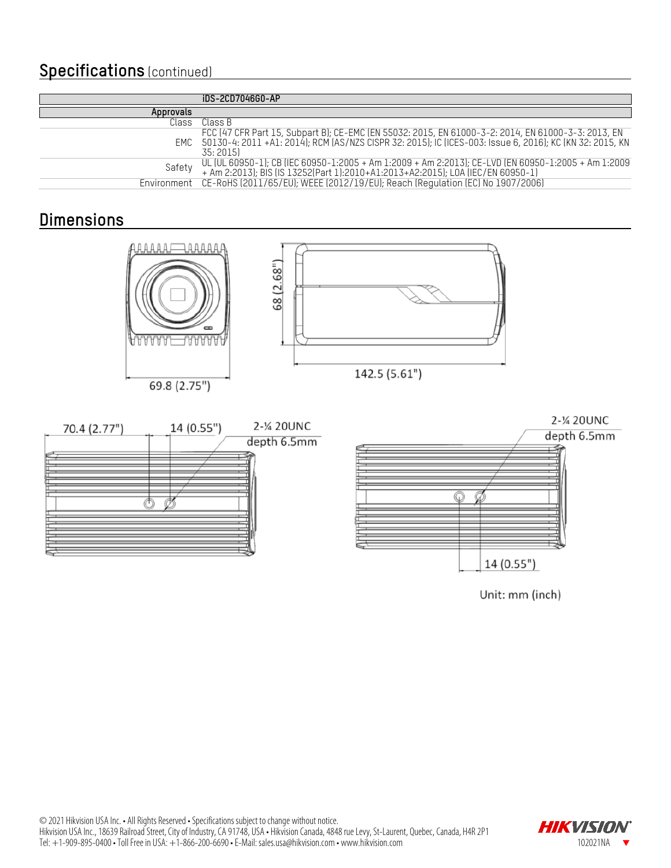## **Specifications** (continued)

|             | iDS-2CD7046G0-AP                                                                                                                                                                                                                 |
|-------------|----------------------------------------------------------------------------------------------------------------------------------------------------------------------------------------------------------------------------------|
| Approvals   |                                                                                                                                                                                                                                  |
| Class       | Class B                                                                                                                                                                                                                          |
|             | FCC (47 CFR Part 15, Subpart B); CE-EMC (EN 55032: 2015, EN 61000-3-2: 2014, EN 61000-3-3: 2013, EN<br>EMC 50130-4: 2011 +A1: 2014); RCM (AS/NZS CISPR 32: 2015); IC (ICES-003: Issue 6, 2016); KC (KN 32: 2015, KN<br>35: 2015) |
| Safety      | UL (UL 60950-1); CB (IEC 60950-1:2005 + Am 1:2009 + Am 2:2013); CE-LVD (EN 60950-1:2005 + Am 1:2009<br>+ Am 2:2013); BIS (IS 13252(Part 1):2010+A1:2013+A2:2015); LOA (IEC/EN 60950-1)                                           |
| Environment | CE-RoHS (2011/65/EU); WEEE (2012/19/EU); Reach (Regulation (EC) No 1907/2006)                                                                                                                                                    |

## **Dimensions**





Unit: mm (inch)